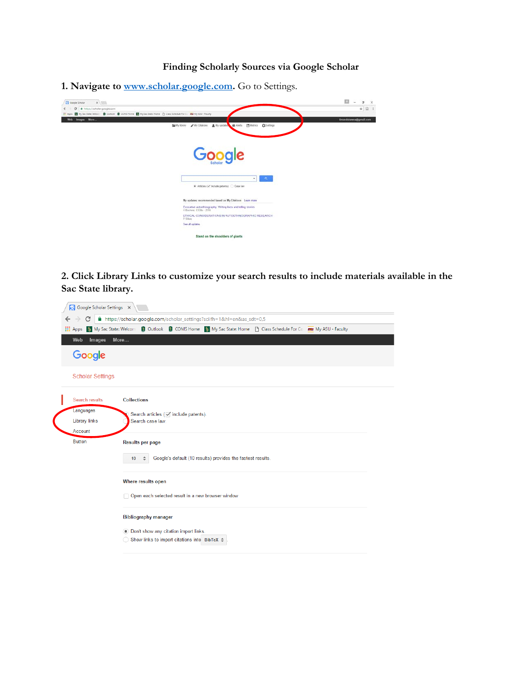## **Finding Scholarly Sources via Google Scholar**

**1. Navigate to [www.scholar.google.com.](http://www.scholar.google.com/)** Go to Settings.



**2. Click Library Links to customize your search results to include materials available in the Sac State library.**

| <b>III</b> Apps<br>My Sac State: Welcom | Outlook C COMS Home My Sac State: Home C Class Schedule For Co RSU My ASU - Faculty |  |  |  |
|-----------------------------------------|-------------------------------------------------------------------------------------|--|--|--|
| Images<br>Web                           | More                                                                                |  |  |  |
|                                         |                                                                                     |  |  |  |
| Google                                  |                                                                                     |  |  |  |
| <b>Scholar Settings</b>                 |                                                                                     |  |  |  |
| Search results                          | <b>Collections</b>                                                                  |  |  |  |
| Languages                               | Search articles (√ include patents).                                                |  |  |  |
| <b>Library links</b>                    | Search case law.                                                                    |  |  |  |
| Account                                 |                                                                                     |  |  |  |
| <b>Button</b>                           | <b>Results per page</b>                                                             |  |  |  |
|                                         | Google's default (10 results) provides the fastest results.<br>10                   |  |  |  |
|                                         | Where results open                                                                  |  |  |  |
|                                         | Open each selected result in a new browser window                                   |  |  |  |
|                                         | <b>Bibliography manager</b>                                                         |  |  |  |
|                                         | . Don't show any citation import links.                                             |  |  |  |
|                                         | ◯ Show links to import citations into BibTeX $≑$                                    |  |  |  |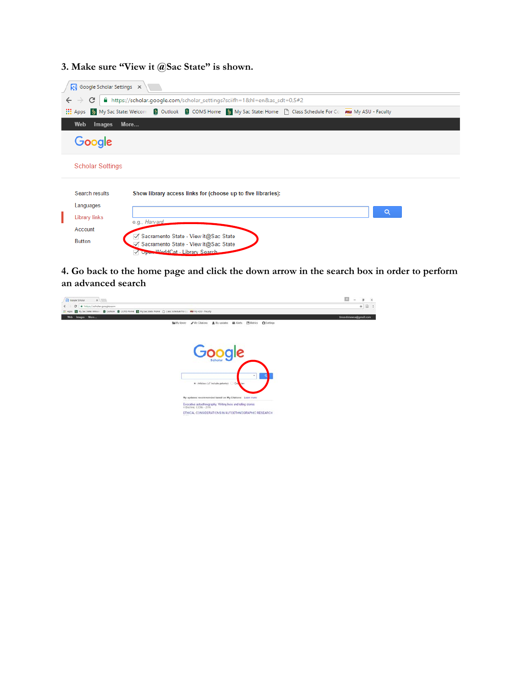## **3. Make sure "View it @Sac State" is shown.**

| Google Scholar Settings X<br>A https://scholar.google.com/scholar_settings?sciifh=1&hl=en&as_sdt=0,5#2<br>C<br>$\leftarrow$<br>$\rightarrow$ |                                                                          |                                                                                                                                                                                                           |  |  |  |  |  |  |  |
|----------------------------------------------------------------------------------------------------------------------------------------------|--------------------------------------------------------------------------|-----------------------------------------------------------------------------------------------------------------------------------------------------------------------------------------------------------|--|--|--|--|--|--|--|
|                                                                                                                                              |                                                                          |                                                                                                                                                                                                           |  |  |  |  |  |  |  |
| <b>Web</b><br>More<br>Images                                                                                                                 |                                                                          |                                                                                                                                                                                                           |  |  |  |  |  |  |  |
| Google                                                                                                                                       |                                                                          |                                                                                                                                                                                                           |  |  |  |  |  |  |  |
|                                                                                                                                              | <b>Scholar Settings</b>                                                  |                                                                                                                                                                                                           |  |  |  |  |  |  |  |
|                                                                                                                                              | Search results<br>Languages<br>Library links<br>Account<br><b>Button</b> | Show library access links for (choose up to five libraries):<br>Q<br>e.g., Harvard<br>○ Sacramento State - View it@Sac State<br>○ Sacramento State - View it@Sac State<br>Monte WorldCat - Library Search |  |  |  |  |  |  |  |

**4. Go back to the home page and click the down arrow in the search box in order to perform an advanced search**

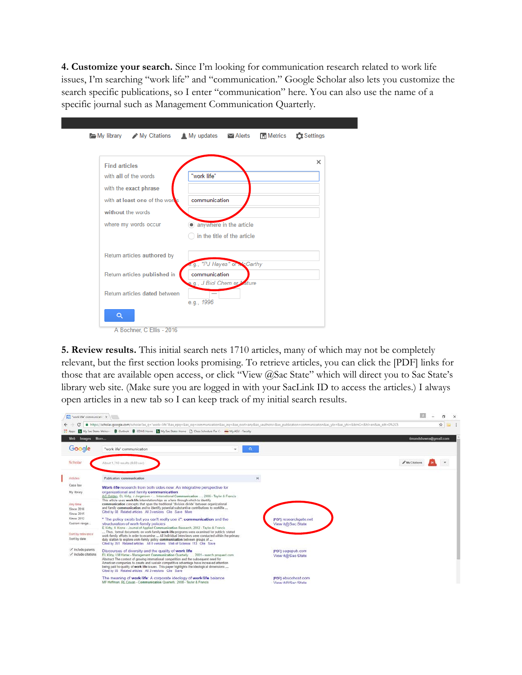**4. Customize your search.** Since I'm looking for communication research related to work life issues, I'm searching "work life" and "communication." Google Scholar also lets you customize the search specific publications, so I enter "communication" here. You can also use the name of a specific journal such as Management Communication Quarterly.

| <b>Find articles</b>           | ×                            |
|--------------------------------|------------------------------|
| with all of the words          | "work life"                  |
| with the exact phrase          |                              |
| with at least one of the words | communication                |
| without the words              |                              |
| where my words occur           | • anywhere in the article    |
|                                | in the title of the article  |
| Return articles authored by    | e.g., "PJ Hayes" or McCarthy |
| Return articles published in   | communication                |
|                                | e.g., J Biol Chem or Mature  |
| Return articles dated between  | $\overline{\phantom{0}}$     |

**5. Review results.** This initial search nets 1710 articles, many of which may not be completely relevant, but the first section looks promising. To retrieve articles, you can click the [PDF] links for those that are available open access, or click "View @Sac State" which will direct you to Sac State's library web site. (Make sure you are logged in with your SacLink ID to access the articles.) I always open articles in a new tab so I can keep track of my initial search results.

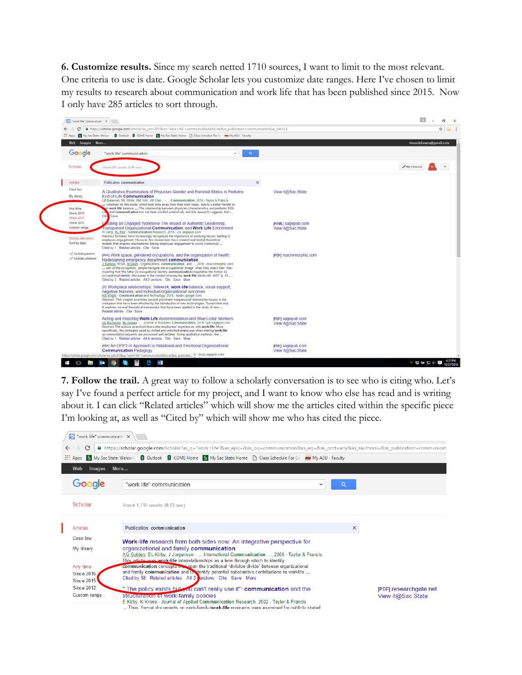**6. Customize results.** Since my search netted 1710 sources, I want to limit to the most relevant. One criteria to use is date. Google Scholar lets you customize date ranges. Here I've chosen to limit my results to research about communication and work life that has been published since 2015. Now I only have 285 articles to sort through.

| ET Apps                                            | My Sac State: Welcon Cutlook COMS Home My Sac State: Home C Class Schedule For C ass My ASU - Faculty                                                                                                                                                                                                                                                                                                                                                                                                                                                                              |                                         |                        |
|----------------------------------------------------|------------------------------------------------------------------------------------------------------------------------------------------------------------------------------------------------------------------------------------------------------------------------------------------------------------------------------------------------------------------------------------------------------------------------------------------------------------------------------------------------------------------------------------------------------------------------------------|-----------------------------------------|------------------------|
| Web Images More                                    |                                                                                                                                                                                                                                                                                                                                                                                                                                                                                                                                                                                    |                                         | timandshawna@gmail.com |
| Google                                             | $\alpha$<br>"work life" communication<br>$\sim$                                                                                                                                                                                                                                                                                                                                                                                                                                                                                                                                    |                                         |                        |
|                                                    |                                                                                                                                                                                                                                                                                                                                                                                                                                                                                                                                                                                    |                                         |                        |
| Scholar                                            | About 285 results (0.06 sec)                                                                                                                                                                                                                                                                                                                                                                                                                                                                                                                                                       |                                         | $My$ Citations         |
| <b>Articles</b>                                    | Publication: communication                                                                                                                                                                                                                                                                                                                                                                                                                                                                                                                                                         | $\boldsymbol{\times}$                   |                        |
| Case law<br>My Ebrary                              | A Qualitative Examination of Physician Gender and Parental Status in Pediatric<br>End-of-Life Communication<br>LB Bateman, ML White, NM Tofit, JM Clair Communication, 2016 - Taylor & Francis<br>volunteer for this study, which took time away from their work hours, due to a better handle on                                                                                                                                                                                                                                                                                  | View it@Sac State                       |                        |
| Any time<br>Since 2016<br>Since 2015<br>Since 2012 | oir work-life balance.  The relationship between physician characteristics and pediatric EOL<br>and communication has not been studied extensively and this research suggests that<br>Cite Save                                                                                                                                                                                                                                                                                                                                                                                    |                                         |                        |
| Custom range.<br>Sort by relevance                 | eating an Engaged Workforce The Impact of Authentic Leadership.<br>Transparent Organizational Communication, and Work-Life Enrichment<br>H Jiang, RL Men - Communication Research, 2015 - crx.sagepub.com<br>Abstract Scholars have increasingly recognized the importance of studying factors leading to                                                                                                                                                                                                                                                                          | [HTML] sagepub.com<br>View it@Sac State |                        |
| Sort by date                                       | employee engagement. However, few researchers have created and tested theoretical<br>models that propose mechanisms linking employee engagement to social contextual<br>Cited by 1 Related articles Cite Save                                                                                                                                                                                                                                                                                                                                                                      |                                         |                        |
| Include patents<br>$\checkmark$ include citations  | per Work space, gendered occupations, and the organization of health.<br>Redesigning emergency department communication<br>J Barbour, R Gill, M Dean - Organizations, communication, and , 2016 - macromorphic.com<br>part of the occupation, people navigate the occupational 'image' when they enact their 'role,"<br>meaning that 'the latter (ie occupational identity communication) negotiates the former (ie<br>occupational identity discourse) in the context of everyday work life" (Ashcraft, 2007, p. 12,<br>Cited by 2 Related articles All 2 versions Cite Save More | [PDF] macromorphic.com                  |                        |
|                                                    | 20 Workplace relationships: Telework, work-life balance, social support,<br>negative features, and individual/organizational outcomes<br>KB Wright - Communication and Technology, 2015 - books google.com.<br>Abstract: This chapter examines several prominent interpersonal relationship issues in the<br>workplace that have been affected by the introduction of new technologies. Toward that end,<br>it explores several theoretical frameworks that have been applied to the study of new<br>Related articles Cite Save                                                    |                                         |                        |
|                                                    | Acting and Reacting Work/Life Accommodation and Blue-Collar Workers<br>JE Bocharzin, RL Cowan - Journal of Business Communication, 2016 - job sagepub.com<br>Abstract The authors examined blue-collar employees' experiences with work/life. More<br>specifically, the strategies used by skilled and unskilled employees when making work/life<br>accommodation requests are uncovered and detailed. Using qualitative methods, the<br>Cited by 1 Related articles All 4 versions Cite Save More                                                                                 | [PDF] sagepub.com<br>View it@Sac State  |                        |
|                                                    | [PDF] An OPPT-In Approach to Relational and Emotional Organizational<br><b>Communication Pedagogy</b>                                                                                                                                                                                                                                                                                                                                                                                                                                                                              | [PDF] sagepub.com<br>View it@Sac State  |                        |

**7. Follow the trail.** A great way to follow a scholarly conversation is to see who is citing who. Let's say I've found a perfect article for my project, and I want to know who else has read and is writing about it. I can click "Related articles" which will show me the articles cited within the specific piece I'm looking at, as well as "Cited by" which will show me who has cited the piece.

|                                                                                                                                                                   | "work life" communicatio X                  |                                                                                                                                                                                                                                                                                                                                         |   |                        |  |  |  |  |  |
|-------------------------------------------------------------------------------------------------------------------------------------------------------------------|---------------------------------------------|-----------------------------------------------------------------------------------------------------------------------------------------------------------------------------------------------------------------------------------------------------------------------------------------------------------------------------------------|---|------------------------|--|--|--|--|--|
| A https://scholar.google.com/scholar?as_q="work+life"&as_epq=&as_oq=communication&as_eq=&as_occt=any&as_sauthors=&as_publication=communicati<br>C<br>$\leftarrow$ |                                             |                                                                                                                                                                                                                                                                                                                                         |   |                        |  |  |  |  |  |
|                                                                                                                                                                   | $\frac{111}{211}$ Apps                      | S My Sac State: Welcom S Outlook S COMS Home S My Sac State: Home F Class Schedule For Co RSU My ASU - Faculty                                                                                                                                                                                                                          |   |                        |  |  |  |  |  |
|                                                                                                                                                                   | Web<br>Images                               | More                                                                                                                                                                                                                                                                                                                                    |   |                        |  |  |  |  |  |
|                                                                                                                                                                   | Google                                      | "work life" communication<br>▼                                                                                                                                                                                                                                                                                                          | Q |                        |  |  |  |  |  |
|                                                                                                                                                                   | Scholar                                     | About 1,710 results (0.03 sec)                                                                                                                                                                                                                                                                                                          |   |                        |  |  |  |  |  |
|                                                                                                                                                                   | Articles                                    | Publication: communication                                                                                                                                                                                                                                                                                                              | × |                        |  |  |  |  |  |
|                                                                                                                                                                   | Case law                                    | <b>Work-life</b> research from both sides now: An integrative perspective for                                                                                                                                                                                                                                                           |   |                        |  |  |  |  |  |
|                                                                                                                                                                   | My library                                  | organizational and family communication<br>AG Golden, EL Kirby, J Jorgenson -  International Communication , 2006 - Taylor & Francis                                                                                                                                                                                                    |   |                        |  |  |  |  |  |
|                                                                                                                                                                   | Any time<br>Since 2016<br><b>Since 2015</b> | This article uses work-life interrelationships as a lens through which to identify<br>communication concepts and span the traditional "division divide" between organizational<br>and family communication and to dentify potential substantive contributions to worklife<br>Cited by 58 Related articles All 3 Persions Cite Save More |   |                        |  |  |  |  |  |
|                                                                                                                                                                   | <b>Since 2012</b>                           | " The policy exists but you can't really use it": communication and the                                                                                                                                                                                                                                                                 |   | [PDF] researchgate.net |  |  |  |  |  |
|                                                                                                                                                                   | Custom range                                | structuration of work-family policies<br>E Kirby, K Krone - Journal of Applied Communication Research, 2002 - Taylor & Francis                                                                                                                                                                                                          |   | View it@Sac State      |  |  |  |  |  |
|                                                                                                                                                                   |                                             | Thus formal documents on work-family/ <b>work-life</b> programs were examined for publicly stated                                                                                                                                                                                                                                       |   |                        |  |  |  |  |  |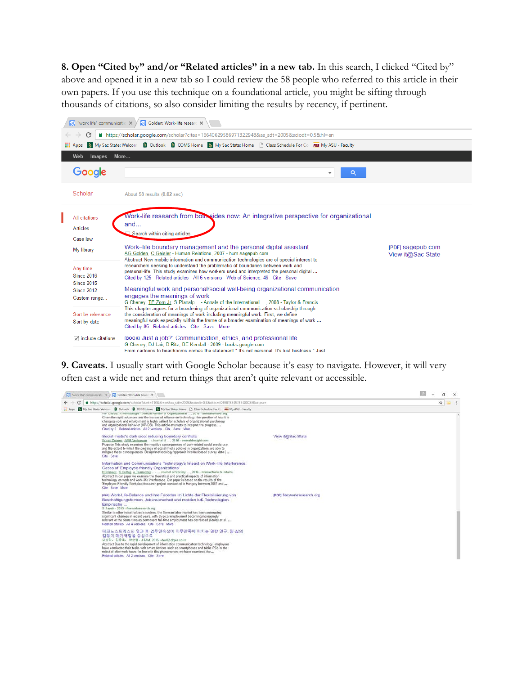**8. Open "Cited by" and/or "Related articles" in a new tab.** In this search, I clicked "Cited by" above and opened it in a new tab so I could review the 58 people who referred to this article in their own papers. If you use this technique on a foundational article, you might be sifting through thousands of citations, so also consider limiting the results by recency, if pertinent.



**9. Caveats.** I usually start with Google Scholar because it's easy to navigate. However, it will very often cast a wide net and return things that aren't quite relevant or accessible.

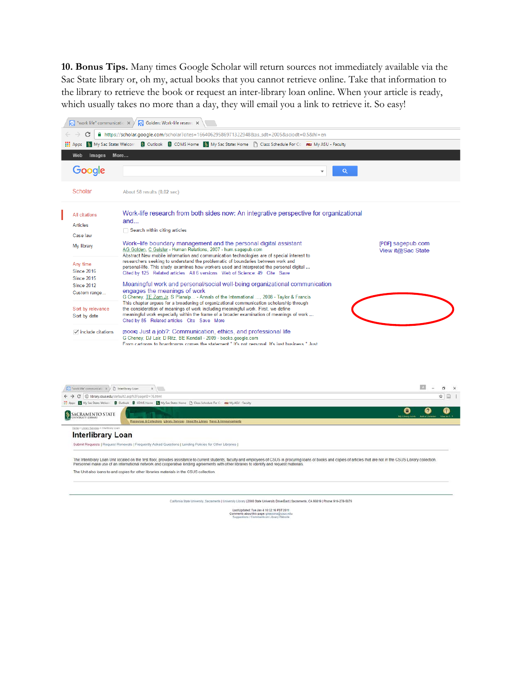**10. Bonus Tips.** Many times Google Scholar will return sources not immediately available via the Sac State library or, oh my, actual books that you cannot retrieve online. Take that information to the library to retrieve the book or request an inter-library loan online. When your article is ready, which usually takes no more than a day, they will email you a link to retrieve it. So easy!





Submit Requests | Request Renewals | Frequently Asked Questions | Lending Policies for Other Libraries |

The Interlibrary Loan Unit located on the first floor, provides assistance to current students, faculty and employees of CSUS in procuring loans of books and copies of articles that are not in the CSUS Library collection The Unit also loans to and copies for other libraries materials in the CSUS collection.

California State University: Sacramecto | University Library | 2000 State University Drive East | Sacramento: CA 95819 | Phone: 916-278-5679

Last Updated: Tue Jan 4 10:32:16 PST 2011<br>Comments about this page: gleasona@csus e<br>Suggestions / Comments on Library Website